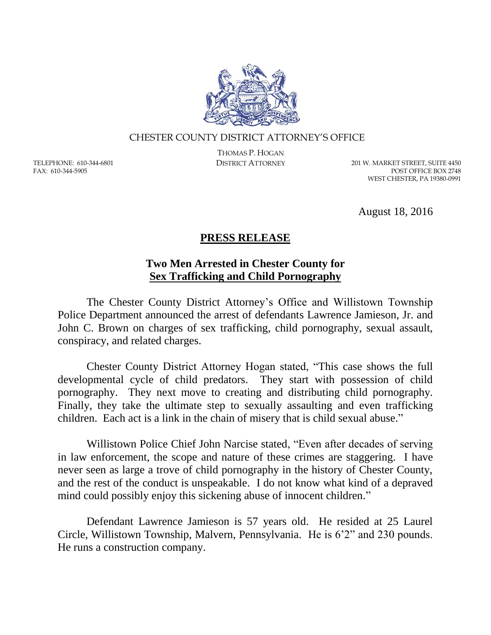

## CHESTER COUNTY DISTRICT ATTORNEY'S OFFICE

TELEPHONE: 610-344-6801 FAX: 610-344-5905

THOMAS P. HOGAN

DISTRICT ATTORNEY 201 W. MARKET STREET, SUITE 4450 POST OFFICE BOX 2748 WEST CHESTER, PA 19380-0991

August 18, 2016

## **PRESS RELEASE**

## **Two Men Arrested in Chester County for Sex Trafficking and Child Pornography**

The Chester County District Attorney's Office and Willistown Township Police Department announced the arrest of defendants Lawrence Jamieson, Jr. and John C. Brown on charges of sex trafficking, child pornography, sexual assault, conspiracy, and related charges.

Chester County District Attorney Hogan stated, "This case shows the full developmental cycle of child predators. They start with possession of child pornography. They next move to creating and distributing child pornography. Finally, they take the ultimate step to sexually assaulting and even trafficking children. Each act is a link in the chain of misery that is child sexual abuse."

Willistown Police Chief John Narcise stated, "Even after decades of serving in law enforcement, the scope and nature of these crimes are staggering. I have never seen as large a trove of child pornography in the history of Chester County, and the rest of the conduct is unspeakable. I do not know what kind of a depraved mind could possibly enjoy this sickening abuse of innocent children."

Defendant Lawrence Jamieson is 57 years old. He resided at 25 Laurel Circle, Willistown Township, Malvern, Pennsylvania. He is 6'2" and 230 pounds. He runs a construction company.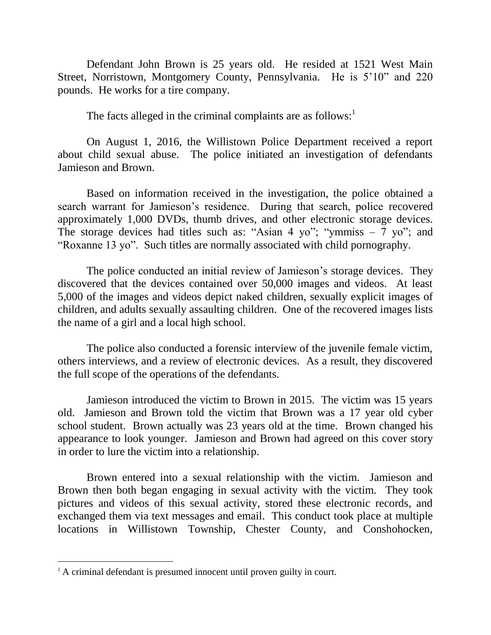Defendant John Brown is 25 years old. He resided at 1521 West Main Street, Norristown, Montgomery County, Pennsylvania. He is 5'10" and 220 pounds. He works for a tire company.

The facts alleged in the criminal complaints are as follows:<sup>1</sup>

On August 1, 2016, the Willistown Police Department received a report about child sexual abuse. The police initiated an investigation of defendants Jamieson and Brown.

Based on information received in the investigation, the police obtained a search warrant for Jamieson's residence. During that search, police recovered approximately 1,000 DVDs, thumb drives, and other electronic storage devices. The storage devices had titles such as: "Asian 4 yo"; "ymmiss  $-7$  yo"; and "Roxanne 13 yo". Such titles are normally associated with child pornography.

The police conducted an initial review of Jamieson's storage devices. They discovered that the devices contained over 50,000 images and videos. At least 5,000 of the images and videos depict naked children, sexually explicit images of children, and adults sexually assaulting children. One of the recovered images lists the name of a girl and a local high school.

The police also conducted a forensic interview of the juvenile female victim, others interviews, and a review of electronic devices. As a result, they discovered the full scope of the operations of the defendants.

Jamieson introduced the victim to Brown in 2015. The victim was 15 years old. Jamieson and Brown told the victim that Brown was a 17 year old cyber school student. Brown actually was 23 years old at the time. Brown changed his appearance to look younger. Jamieson and Brown had agreed on this cover story in order to lure the victim into a relationship.

Brown entered into a sexual relationship with the victim. Jamieson and Brown then both began engaging in sexual activity with the victim. They took pictures and videos of this sexual activity, stored these electronic records, and exchanged them via text messages and email. This conduct took place at multiple locations in Willistown Township, Chester County, and Conshohocken,

 $\overline{a}$ 

<sup>&</sup>lt;sup>1</sup> A criminal defendant is presumed innocent until proven guilty in court.